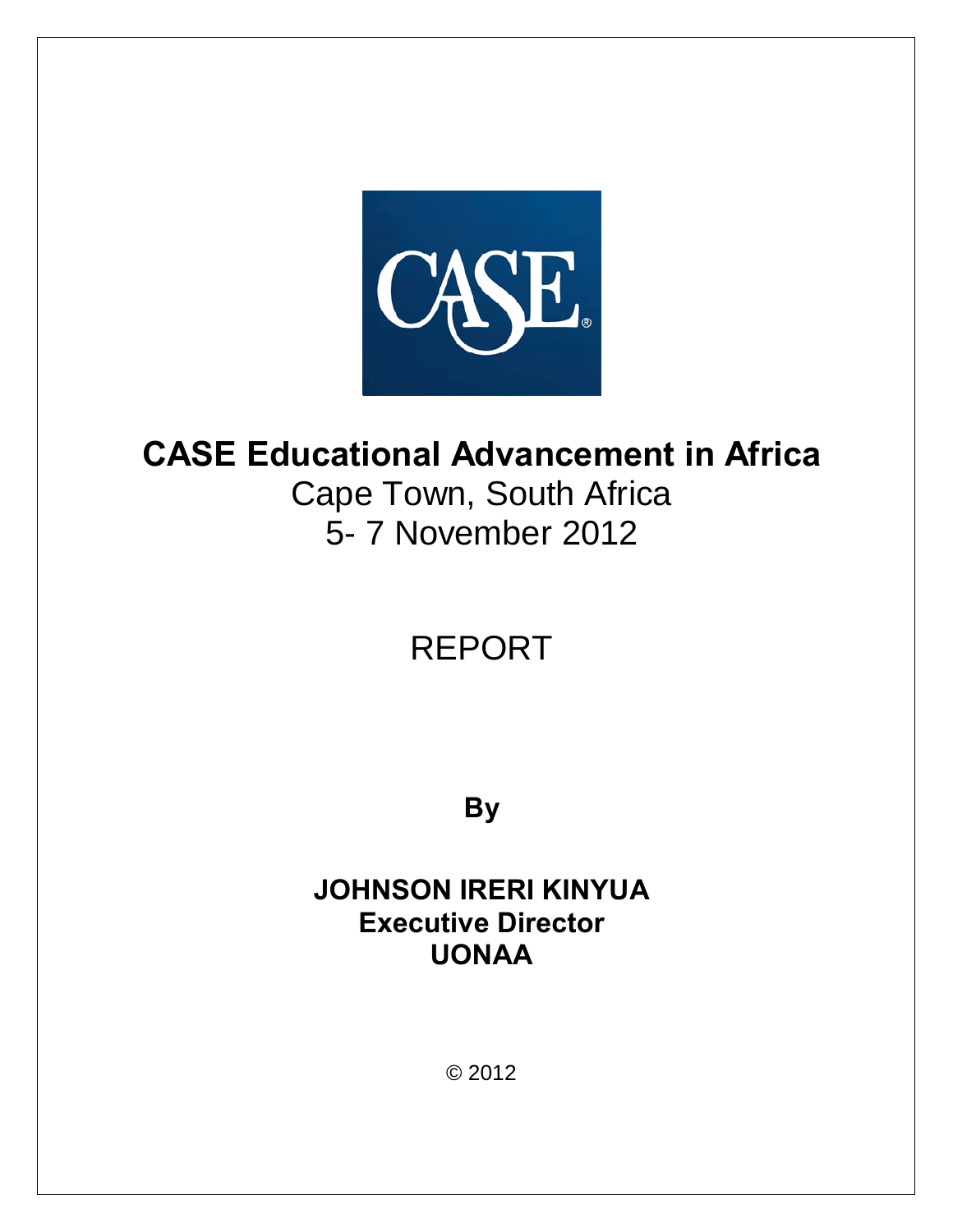

## **CASE Educational Advancement in Africa** Cape Town, South Africa 5- 7 November 2012

# REPORT

**By** 

**JOHNSON IRERI KINYUA Executive Director UONAA**

© 2012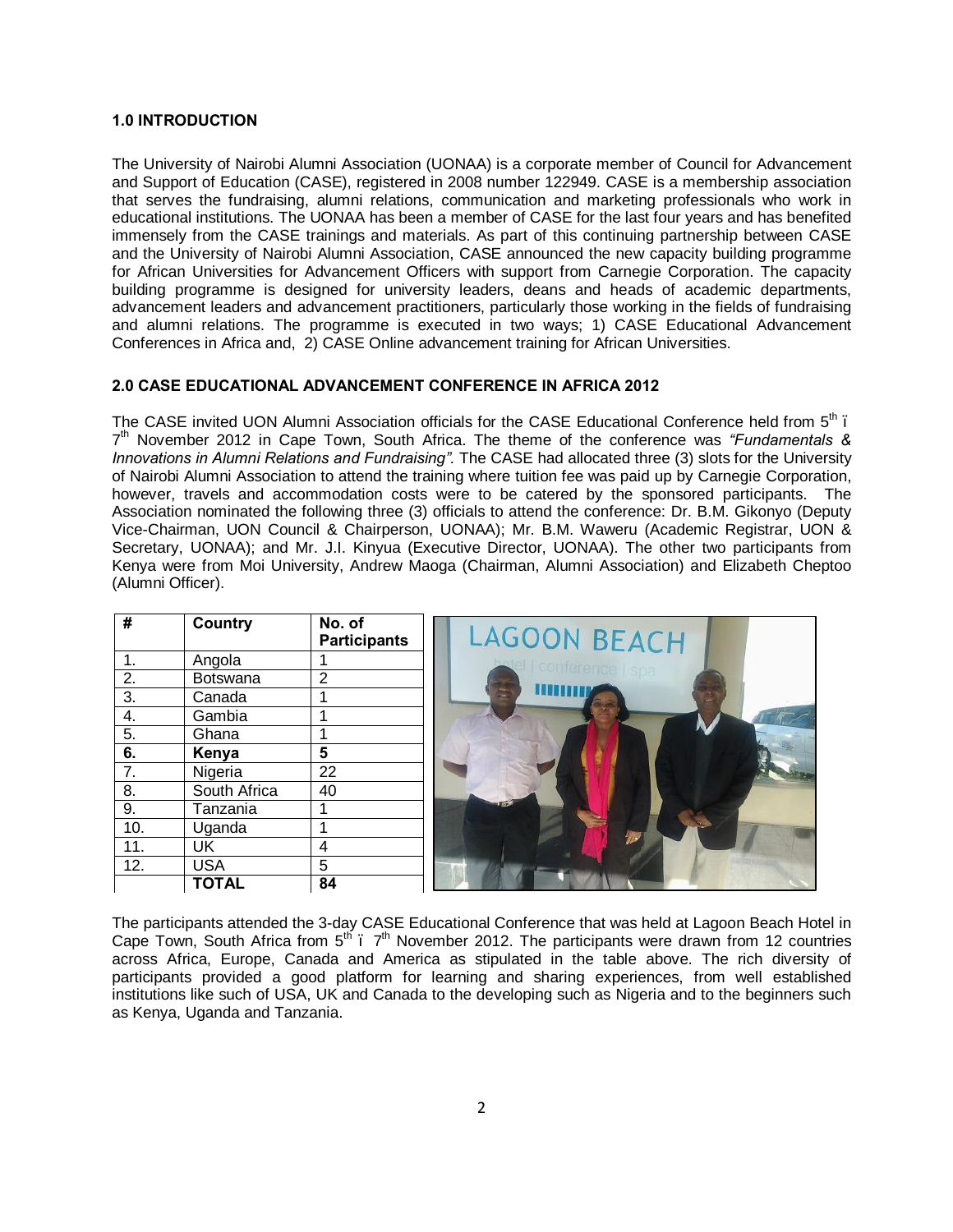#### **1.0 INTRODUCTION**

The University of Nairobi Alumni Association (UONAA) is a corporate member of Council for Advancement and Support of Education (CASE), registered in 2008 number 122949. CASE is a membership association that serves the fundraising, alumni relations, communication and marketing professionals who work in educational institutions. The UONAA has been a member of CASE for the last four years and has benefited immensely from the CASE trainings and materials. As part of this continuing partnership between CASE and the University of Nairobi Alumni Association, CASE announced the new capacity building programme for African Universities for Advancement Officers with support from Carnegie Corporation. The capacity building programme is designed for university leaders, deans and heads of academic departments, advancement leaders and advancement practitioners, particularly those working in the fields of fundraising and alumni relations. The programme is executed in two ways; 1) CASE Educational Advancement Conferences in Africa and, 2) CASE Online advancement training for African Universities.

#### **2.0 CASE EDUCATIONAL ADVANCEMENT CONFERENCE IN AFRICA 2012**

The CASE invited UON Alumni Association officials for the CASE Educational Conference held from  $5<sup>th</sup>$ . 7th November 2012 in Cape Town, South Africa. The theme of the conference was *"Fundamentals & Innovations in Alumni Relations and Fundraising".* The CASE had allocated three (3) slots for the University of Nairobi Alumni Association to attend the training where tuition fee was paid up by Carnegie Corporation, however, travels and accommodation costs were to be catered by the sponsored participants. The Association nominated the following three (3) officials to attend the conference: Dr. B.M. Gikonyo (Deputy Vice-Chairman, UON Council & Chairperson, UONAA); Mr. B.M. Waweru (Academic Registrar, UON & Secretary, UONAA); and Mr. J.I. Kinyua (Executive Director, UONAA). The other two participants from Kenya were from Moi University, Andrew Maoga (Chairman, Alumni Association) and Elizabeth Cheptoo (Alumni Officer).

| $\overline{\boldsymbol{t}}$ | <b>Country</b>  | No. of              |                          |
|-----------------------------|-----------------|---------------------|--------------------------|
|                             |                 | <b>Participants</b> | <b>LAGOON BEACH</b>      |
|                             | Angola          |                     | hatel   conference   spa |
| 2.                          | <b>Botswana</b> | 2                   |                          |
| $\overline{3}$ .            | Canada          |                     | <b>WWW</b>               |
| 4.                          | Gambia          |                     |                          |
| $\overline{5}$ .            | Ghana           |                     |                          |
| 6.                          | Kenya           | 5                   |                          |
| $\overline{7}$ .            | Nigeria         | 22                  |                          |
| 8.                          | South Africa    | 40                  |                          |
| 9.                          | Tanzania        |                     |                          |
| 10.                         | Uganda          |                     |                          |
| 11.                         | UK              | 4                   |                          |
| 12.                         | <b>USA</b>      | 5                   |                          |
|                             | <b>TOTAL</b>    | 84                  |                          |

The participants attended the 3-day CASE Educational Conference that was held at Lagoon Beach Hotel in Cape Town, South Africa from  $5<sup>th</sup>$ .  $7<sup>th</sup>$  November 2012. The participants were drawn from 12 countries across Africa, Europe, Canada and America as stipulated in the table above. The rich diversity of participants provided a good platform for learning and sharing experiences, from well established institutions like such of USA, UK and Canada to the developing such as Nigeria and to the beginners such as Kenya, Uganda and Tanzania.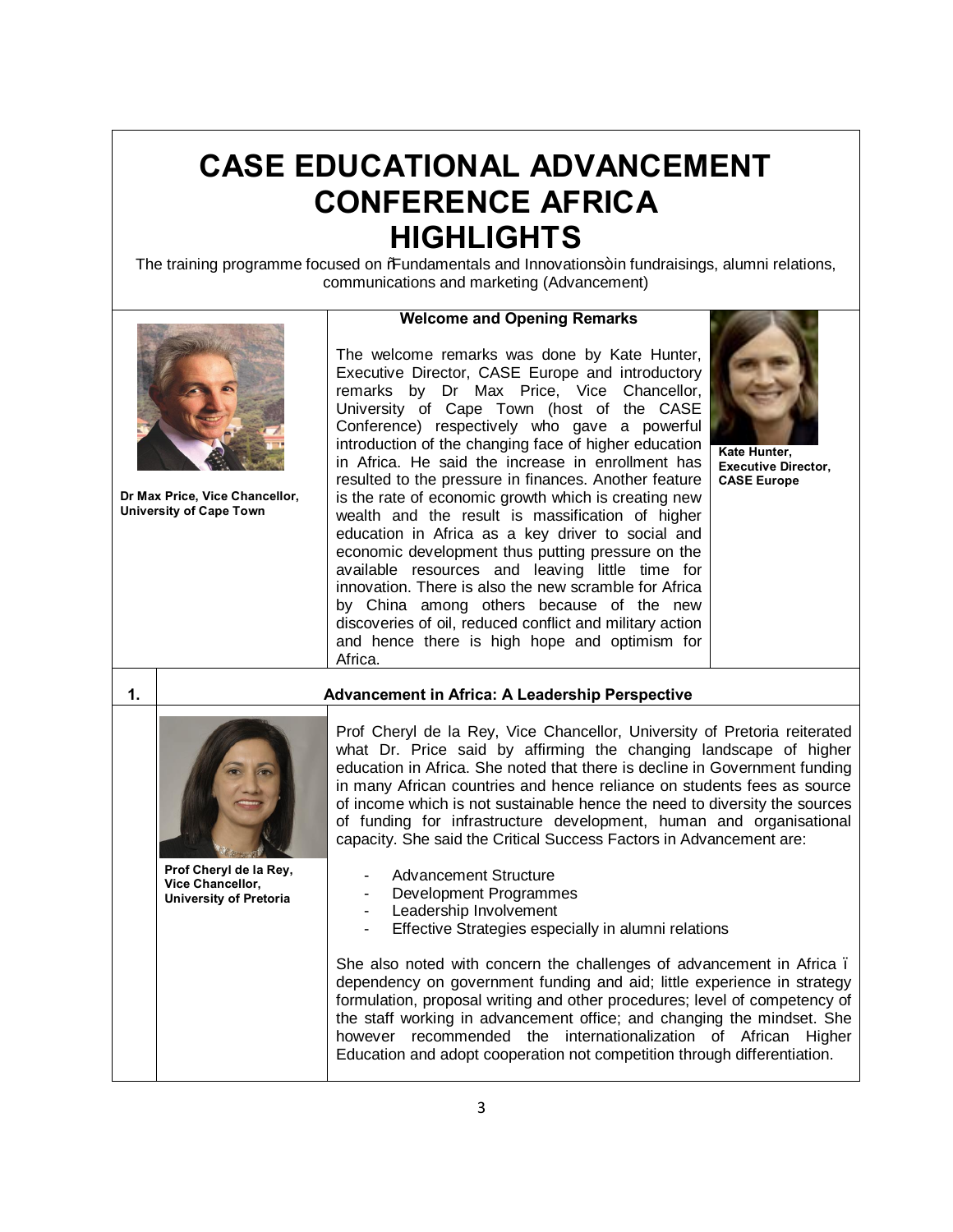### **CASE EDUCATIONAL ADVANCEMENT CONFERENCE AFRICA HIGHLIGHTS**

The training programme focused on % undamentals and Innovations+in fundraisings, alumni relations, communications and marketing (Advancement)

| Dr Max Price, Vice Chancellor,<br><b>University of Cape Town</b> |                                                                             | <b>Welcome and Opening Remarks</b><br>The welcome remarks was done by Kate Hunter,<br>Executive Director, CASE Europe and introductory<br>remarks by Dr Max Price, Vice Chancellor,<br>University of Cape Town (host of the CASE<br>Conference) respectively who gave a powerful<br>introduction of the changing face of higher education<br>in Africa. He said the increase in enrollment has<br>resulted to the pressure in finances. Another feature<br>is the rate of economic growth which is creating new<br>wealth and the result is massification of higher<br>education in Africa as a key driver to social and<br>economic development thus putting pressure on the<br>available resources and leaving little time for<br>innovation. There is also the new scramble for Africa<br>by China among others because of the new<br>discoveries of oil, reduced conflict and military action<br>and hence there is high hope and optimism for<br>Africa. | Kate Hunter.<br><b>Executive Director,</b><br><b>CASE Europe</b> |  |
|------------------------------------------------------------------|-----------------------------------------------------------------------------|---------------------------------------------------------------------------------------------------------------------------------------------------------------------------------------------------------------------------------------------------------------------------------------------------------------------------------------------------------------------------------------------------------------------------------------------------------------------------------------------------------------------------------------------------------------------------------------------------------------------------------------------------------------------------------------------------------------------------------------------------------------------------------------------------------------------------------------------------------------------------------------------------------------------------------------------------------------|------------------------------------------------------------------|--|
| 1.                                                               |                                                                             | <b>Advancement in Africa: A Leadership Perspective</b>                                                                                                                                                                                                                                                                                                                                                                                                                                                                                                                                                                                                                                                                                                                                                                                                                                                                                                        |                                                                  |  |
|                                                                  |                                                                             | Prof Cheryl de la Rey, Vice Chancellor, University of Pretoria reiterated<br>what Dr. Price said by affirming the changing landscape of higher<br>education in Africa. She noted that there is decline in Government funding<br>in many African countries and hence reliance on students fees as source<br>of income which is not sustainable hence the need to diversity the sources<br>of funding for infrastructure development, human and organisational<br>capacity. She said the Critical Success Factors in Advancement are:                                                                                                                                                                                                                                                                                                                                                                                                                           |                                                                  |  |
|                                                                  | Prof Cheryl de la Rey,<br>Vice Chancellor,<br><b>University of Pretoria</b> | <b>Advancement Structure</b><br><b>Development Programmes</b><br>Leadership Involvement<br>Effective Strategies especially in alumni relations<br>$\blacksquare$                                                                                                                                                                                                                                                                                                                                                                                                                                                                                                                                                                                                                                                                                                                                                                                              |                                                                  |  |
|                                                                  |                                                                             | She also noted with concern the challenges of advancement in Africa.<br>dependency on government funding and aid; little experience in strategy<br>formulation, proposal writing and other procedures; level of competency of<br>the staff working in advancement office; and changing the mindset. She<br>however recommended the internationalization of African Higher<br>Education and adopt cooperation not competition through differentiation.                                                                                                                                                                                                                                                                                                                                                                                                                                                                                                         |                                                                  |  |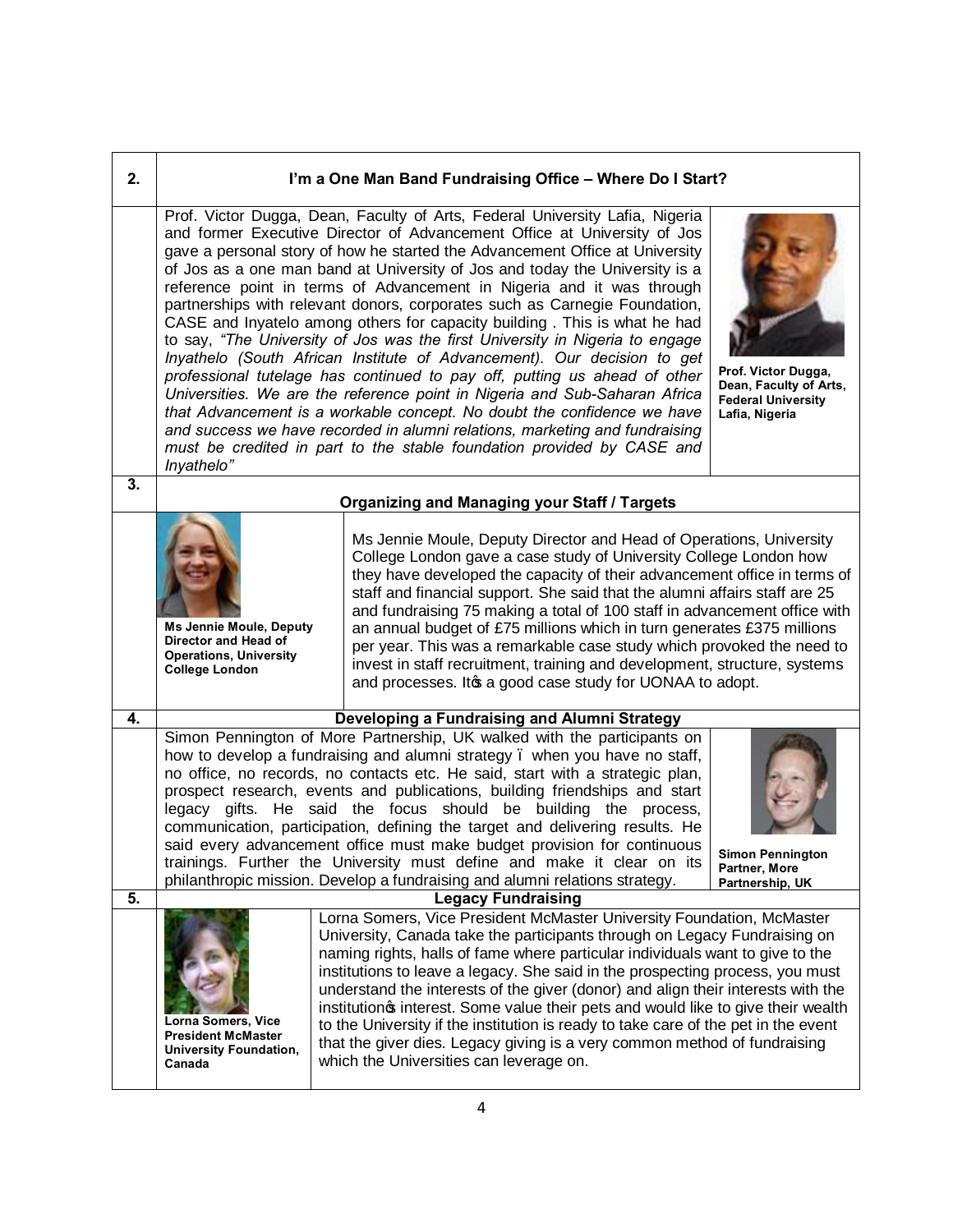| 2. | I'm a One Man Band Fundraising Office - Where Do I Start?                                                                                                                                                                                                                                                                                                                                                                                                                                                                                                                                                                                                                                                                                                                                                                                                                                                                                                                                                                                                                                                                                                                                                                           |                                                                                                                                                                                                                                                                                                                                                                                                                                                                                                                                                                                                                                                                            |  |
|----|-------------------------------------------------------------------------------------------------------------------------------------------------------------------------------------------------------------------------------------------------------------------------------------------------------------------------------------------------------------------------------------------------------------------------------------------------------------------------------------------------------------------------------------------------------------------------------------------------------------------------------------------------------------------------------------------------------------------------------------------------------------------------------------------------------------------------------------------------------------------------------------------------------------------------------------------------------------------------------------------------------------------------------------------------------------------------------------------------------------------------------------------------------------------------------------------------------------------------------------|----------------------------------------------------------------------------------------------------------------------------------------------------------------------------------------------------------------------------------------------------------------------------------------------------------------------------------------------------------------------------------------------------------------------------------------------------------------------------------------------------------------------------------------------------------------------------------------------------------------------------------------------------------------------------|--|
|    | Prof. Victor Dugga, Dean, Faculty of Arts, Federal University Lafia, Nigeria<br>and former Executive Director of Advancement Office at University of Jos<br>gave a personal story of how he started the Advancement Office at University<br>of Jos as a one man band at University of Jos and today the University is a<br>reference point in terms of Advancement in Nigeria and it was through<br>partnerships with relevant donors, corporates such as Carnegie Foundation,<br>CASE and Inyatelo among others for capacity building. This is what he had<br>to say, "The University of Jos was the first University in Nigeria to engage<br>Inyathelo (South African Institute of Advancement). Our decision to get<br>Prof. Victor Dugga,<br>professional tutelage has continued to pay off, putting us ahead of other<br>Dean, Faculty of Arts,<br>Universities. We are the reference point in Nigeria and Sub-Saharan Africa<br><b>Federal University</b><br>that Advancement is a workable concept. No doubt the confidence we have<br>Lafia, Nigeria<br>and success we have recorded in alumni relations, marketing and fundraising<br>must be credited in part to the stable foundation provided by CASE and<br>Inyathelo" |                                                                                                                                                                                                                                                                                                                                                                                                                                                                                                                                                                                                                                                                            |  |
| 3. |                                                                                                                                                                                                                                                                                                                                                                                                                                                                                                                                                                                                                                                                                                                                                                                                                                                                                                                                                                                                                                                                                                                                                                                                                                     | Organizing and Managing your Staff / Targets                                                                                                                                                                                                                                                                                                                                                                                                                                                                                                                                                                                                                               |  |
|    | <b>Ms Jennie Moule, Deputy</b><br>Director and Head of<br><b>Operations, University</b><br><b>College London</b>                                                                                                                                                                                                                                                                                                                                                                                                                                                                                                                                                                                                                                                                                                                                                                                                                                                                                                                                                                                                                                                                                                                    | Ms Jennie Moule, Deputy Director and Head of Operations, University<br>College London gave a case study of University College London how<br>they have developed the capacity of their advancement office in terms of<br>staff and financial support. She said that the alumni affairs staff are 25<br>and fundraising 75 making a total of 100 staff in advancement office with<br>an annual budget of £75 millions which in turn generates £375 millions<br>per year. This was a remarkable case study which provoked the need to<br>invest in staff recruitment, training and development, structure, systems<br>and processes. It a good case study for UONAA to adopt. |  |
| 4. |                                                                                                                                                                                                                                                                                                                                                                                                                                                                                                                                                                                                                                                                                                                                                                                                                                                                                                                                                                                                                                                                                                                                                                                                                                     | Developing a Fundraising and Alumni Strategy                                                                                                                                                                                                                                                                                                                                                                                                                                                                                                                                                                                                                               |  |
|    | Simon Pennington of More Partnership, UK walked with the participants on<br>how to develop a fundraising and alumni strategy. when you have no staff,<br>no office, no records, no contacts etc. He said, start with a strategic plan,<br>prospect research, events and publications, building friendships and start<br>legacy gifts. He said the focus should be building the process,<br>communication, participation, defining the target and delivering results. He<br>said every advancement office must make budget provision for continuous<br><b>Simon Pennington</b><br>trainings. Further the University must define and make it clear on its<br>Partner, More<br>philanthropic mission. Develop a fundraising and alumni relations strategy.<br>Partnership, UK                                                                                                                                                                                                                                                                                                                                                                                                                                                          |                                                                                                                                                                                                                                                                                                                                                                                                                                                                                                                                                                                                                                                                            |  |
| 5. |                                                                                                                                                                                                                                                                                                                                                                                                                                                                                                                                                                                                                                                                                                                                                                                                                                                                                                                                                                                                                                                                                                                                                                                                                                     | <b>Legacy Fundraising</b>                                                                                                                                                                                                                                                                                                                                                                                                                                                                                                                                                                                                                                                  |  |
|    | Lorna Somers, Vice President McMaster University Foundation, McMaster<br>University, Canada take the participants through on Legacy Fundraising on<br>naming rights, halls of fame where particular individuals want to give to the<br>institutions to leave a legacy. She said in the prospecting process, you must<br>understand the interests of the giver (donor) and align their interests with the<br>institution interest. Some value their pets and would like to give their wealth<br>Lorna Somers, Vice<br>to the University if the institution is ready to take care of the pet in the event<br><b>President McMaster</b><br>that the giver dies. Legacy giving is a very common method of fundraising<br><b>University Foundation,</b><br>which the Universities can leverage on.<br>Canada                                                                                                                                                                                                                                                                                                                                                                                                                             |                                                                                                                                                                                                                                                                                                                                                                                                                                                                                                                                                                                                                                                                            |  |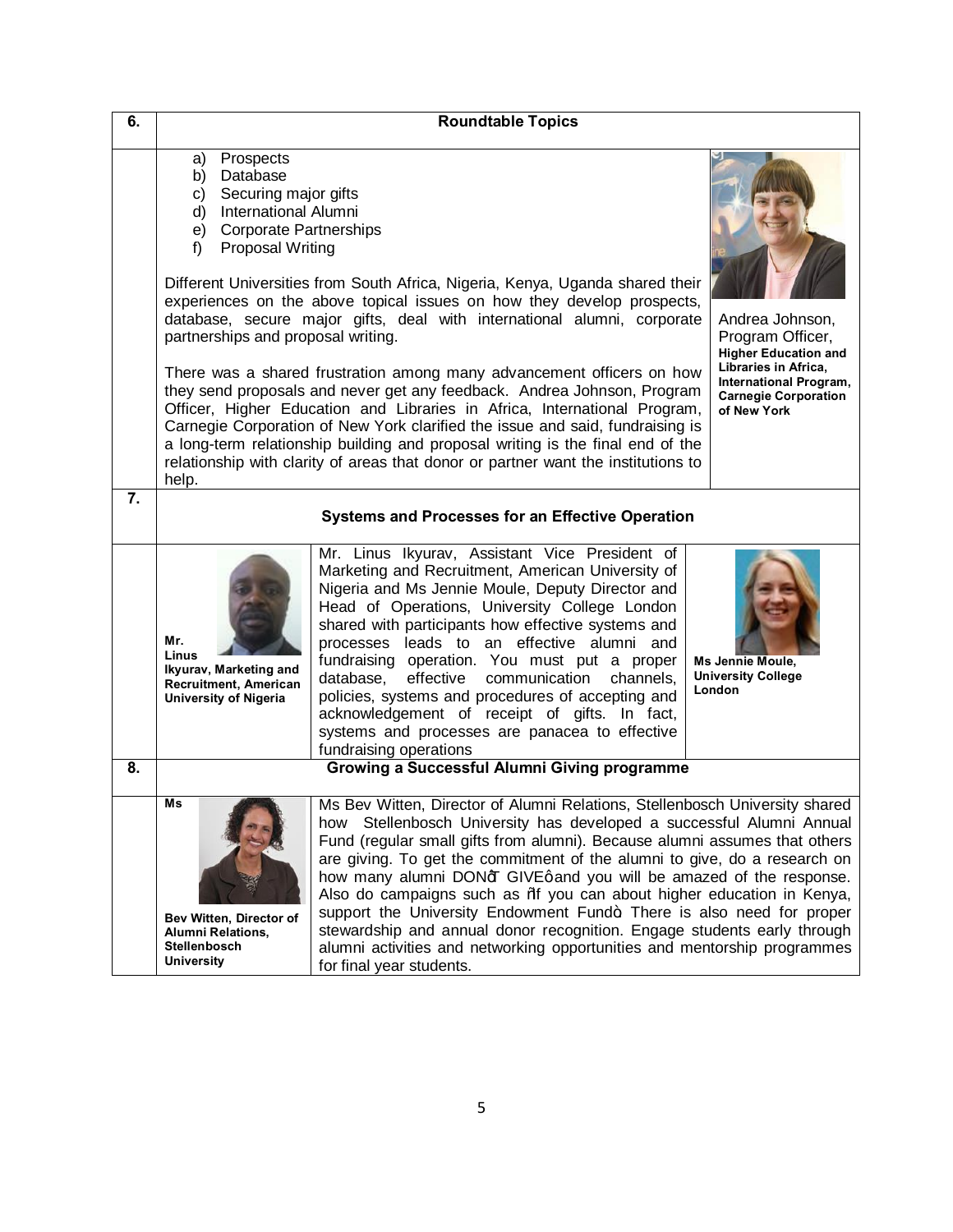| 6. |                                                                                                                                                                                                                   | <b>Roundtable Topics</b>                                                                                                                                                                                                                                                                                                                                                                                                                                                                                                                                                                                                                                                                                                    |                                                                                                                                                                    |
|----|-------------------------------------------------------------------------------------------------------------------------------------------------------------------------------------------------------------------|-----------------------------------------------------------------------------------------------------------------------------------------------------------------------------------------------------------------------------------------------------------------------------------------------------------------------------------------------------------------------------------------------------------------------------------------------------------------------------------------------------------------------------------------------------------------------------------------------------------------------------------------------------------------------------------------------------------------------------|--------------------------------------------------------------------------------------------------------------------------------------------------------------------|
|    | Prospects<br>a)<br>Database<br>b)<br>Securing major gifts<br>C)<br><b>International Alumni</b><br>d)<br>e) Corporate Partnerships<br><b>Proposal Writing</b><br>f)<br>partnerships and proposal writing.<br>help. | Different Universities from South Africa, Nigeria, Kenya, Uganda shared their<br>experiences on the above topical issues on how they develop prospects,<br>database, secure major gifts, deal with international alumni, corporate<br>There was a shared frustration among many advancement officers on how<br>they send proposals and never get any feedback. Andrea Johnson, Program<br>Officer, Higher Education and Libraries in Africa, International Program,<br>Carnegie Corporation of New York clarified the issue and said, fundraising is<br>a long-term relationship building and proposal writing is the final end of the<br>relationship with clarity of areas that donor or partner want the institutions to | Andrea Johnson,<br>Program Officer,<br><b>Higher Education and</b><br>Libraries in Africa,<br>International Program,<br><b>Carnegie Corporation</b><br>of New York |
| 7. |                                                                                                                                                                                                                   | <b>Systems and Processes for an Effective Operation</b>                                                                                                                                                                                                                                                                                                                                                                                                                                                                                                                                                                                                                                                                     |                                                                                                                                                                    |
|    | Mr.<br>Linus<br>Ikyurav, Marketing and<br>Recruitment, American<br><b>University of Nigeria</b>                                                                                                                   | Mr. Linus Ikyurav, Assistant Vice President of<br>Marketing and Recruitment, American University of<br>Nigeria and Ms Jennie Moule, Deputy Director and<br>Head of Operations, University College London<br>shared with participants how effective systems and<br>processes leads to an effective alumni and<br>fundraising operation. You must put a proper<br>effective communication<br>database,<br>channels,<br>policies, systems and procedures of accepting and<br>acknowledgement of receipt of gifts. In fact,<br>systems and processes are panacea to effective<br>fundraising operations                                                                                                                         | <b>Ms Jennie Moule,</b><br><b>University College</b><br>London                                                                                                     |
| 8. |                                                                                                                                                                                                                   | Growing a Successful Alumni Giving programme                                                                                                                                                                                                                                                                                                                                                                                                                                                                                                                                                                                                                                                                                |                                                                                                                                                                    |
|    | Ms<br>Bev Witten, Director of<br><b>Alumni Relations.</b><br>Stellenbosch<br><b>University</b>                                                                                                                    | Ms Bev Witten, Director of Alumni Relations, Stellenbosch University shared<br>how Stellenbosch University has developed a successful Alumni Annual<br>Fund (regular small gifts from alumni). Because alumni assumes that others<br>are giving. To get the commitment of the alumni to give, do a research on<br>how many alumni DONq GIVEqand you will be amazed of the response.<br>Also do campaigns such as %% you can about higher education in Kenya,<br>support the University Endowment Fund+. There is also need for proper<br>stewardship and annual donor recognition. Engage students early through<br>alumni activities and networking opportunities and mentorship programmes<br>for final year students.    |                                                                                                                                                                    |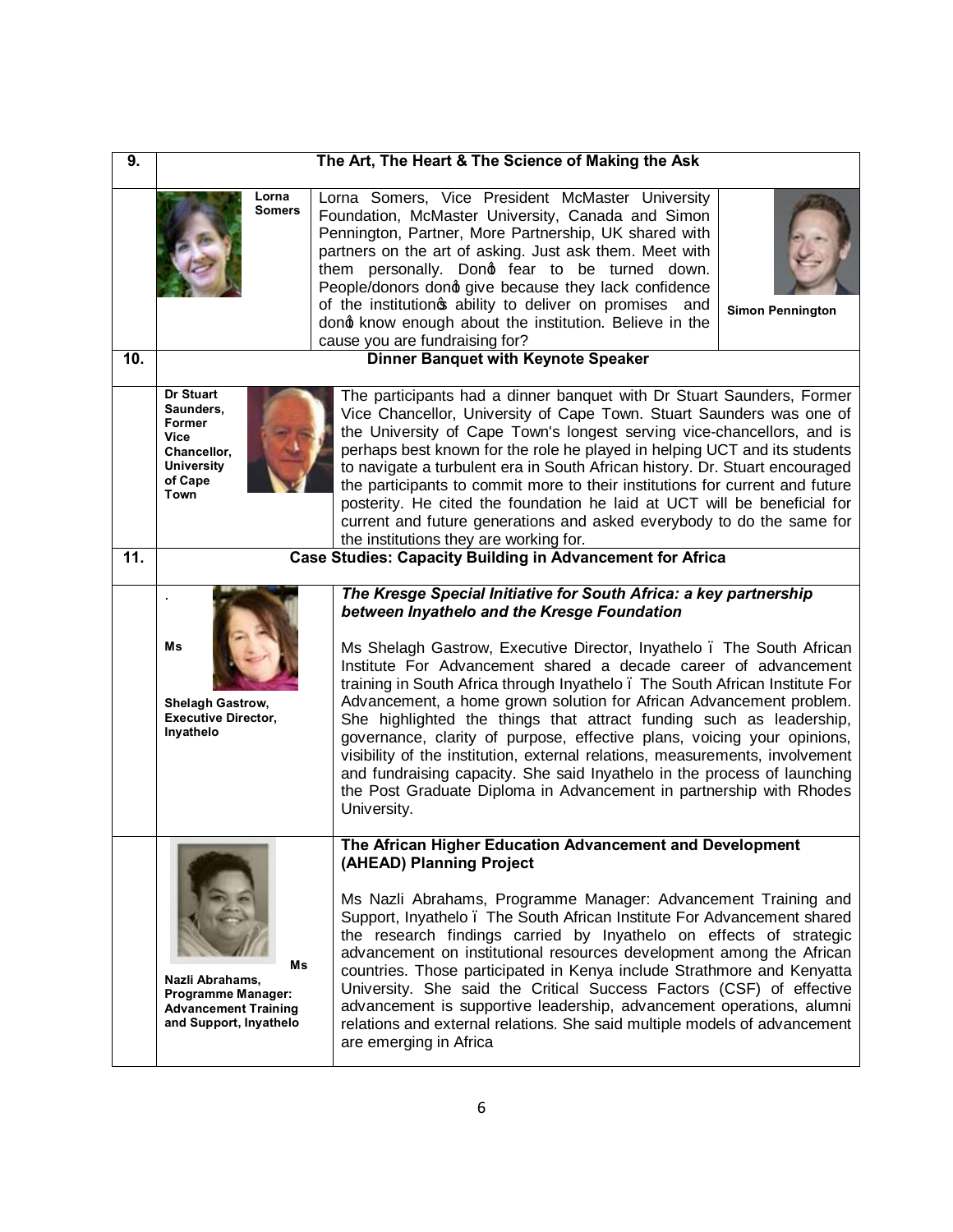| 9.  | The Art, The Heart & The Science of Making the Ask                                                                                                                                                                                                                                                                                                                                                                                                                                                                                                                                                                                                                                                                                                                    |                                                                                                                                                                                                                                                                                                                                                                                                                                                                                                                                                                                                                                                                                                                                                                                                                                                                                   |  |
|-----|-----------------------------------------------------------------------------------------------------------------------------------------------------------------------------------------------------------------------------------------------------------------------------------------------------------------------------------------------------------------------------------------------------------------------------------------------------------------------------------------------------------------------------------------------------------------------------------------------------------------------------------------------------------------------------------------------------------------------------------------------------------------------|-----------------------------------------------------------------------------------------------------------------------------------------------------------------------------------------------------------------------------------------------------------------------------------------------------------------------------------------------------------------------------------------------------------------------------------------------------------------------------------------------------------------------------------------------------------------------------------------------------------------------------------------------------------------------------------------------------------------------------------------------------------------------------------------------------------------------------------------------------------------------------------|--|
|     | Lorna<br><b>Somers</b>                                                                                                                                                                                                                                                                                                                                                                                                                                                                                                                                                                                                                                                                                                                                                | Lorna Somers, Vice President McMaster University<br>Foundation, McMaster University, Canada and Simon<br>Pennington, Partner, More Partnership, UK shared with<br>partners on the art of asking. Just ask them. Meet with<br>them personally. Dond fear to be turned down.<br>People/donors dong give because they lack confidence<br>of the institution a ability to deliver on promises and<br><b>Simon Pennington</b><br>dong know enough about the institution. Believe in the<br>cause you are fundraising for?                                                                                                                                                                                                                                                                                                                                                              |  |
| 10. |                                                                                                                                                                                                                                                                                                                                                                                                                                                                                                                                                                                                                                                                                                                                                                       | <b>Dinner Banquet with Keynote Speaker</b>                                                                                                                                                                                                                                                                                                                                                                                                                                                                                                                                                                                                                                                                                                                                                                                                                                        |  |
|     | Dr Stuart<br>The participants had a dinner banquet with Dr Stuart Saunders, Former<br>Saunders,<br>Vice Chancellor, University of Cape Town. Stuart Saunders was one of<br>Former<br>the University of Cape Town's longest serving vice-chancellors, and is<br>Vice<br>perhaps best known for the role he played in helping UCT and its students<br>Chancellor,<br><b>University</b><br>to navigate a turbulent era in South African history. Dr. Stuart encouraged<br>of Cape<br>the participants to commit more to their institutions for current and future<br>Town<br>posterity. He cited the foundation he laid at UCT will be beneficial for<br>current and future generations and asked everybody to do the same for<br>the institutions they are working for. |                                                                                                                                                                                                                                                                                                                                                                                                                                                                                                                                                                                                                                                                                                                                                                                                                                                                                   |  |
| 11. | <b>Case Studies: Capacity Building in Advancement for Africa</b>                                                                                                                                                                                                                                                                                                                                                                                                                                                                                                                                                                                                                                                                                                      |                                                                                                                                                                                                                                                                                                                                                                                                                                                                                                                                                                                                                                                                                                                                                                                                                                                                                   |  |
|     | Ms<br><b>Shelagh Gastrow,</b><br><b>Executive Director,</b><br>Inyathelo                                                                                                                                                                                                                                                                                                                                                                                                                                                                                                                                                                                                                                                                                              | The Kresge Special Initiative for South Africa: a key partnership<br>between Inyathelo and the Kresge Foundation<br>Ms Shelagh Gastrow, Executive Director, Inyathelo. The South African<br>Institute For Advancement shared a decade career of advancement<br>training in South Africa through Inyathelo. The South African Institute For<br>Advancement, a home grown solution for African Advancement problem.<br>She highlighted the things that attract funding such as leadership,<br>governance, clarity of purpose, effective plans, voicing your opinions,<br>visibility of the institution, external relations, measurements, involvement<br>and fundraising capacity. She said Inyathelo in the process of launching<br>the Post Graduate Diploma in Advancement in partnership with Rhodes<br>University.<br>The African Higher Education Advancement and Development |  |
|     | Ms<br>Nazli Abrahams,<br><b>Programme Manager:</b><br><b>Advancement Training</b><br>and Support, Inyathelo                                                                                                                                                                                                                                                                                                                                                                                                                                                                                                                                                                                                                                                           | (AHEAD) Planning Project<br>Ms Nazli Abrahams, Programme Manager: Advancement Training and<br>Support, Inyathelo. The South African Institute For Advancement shared<br>the research findings carried by Inyathelo on effects of strategic<br>advancement on institutional resources development among the African<br>countries. Those participated in Kenya include Strathmore and Kenyatta<br>University. She said the Critical Success Factors (CSF) of effective<br>advancement is supportive leadership, advancement operations, alumni<br>relations and external relations. She said multiple models of advancement<br>are emerging in Africa                                                                                                                                                                                                                               |  |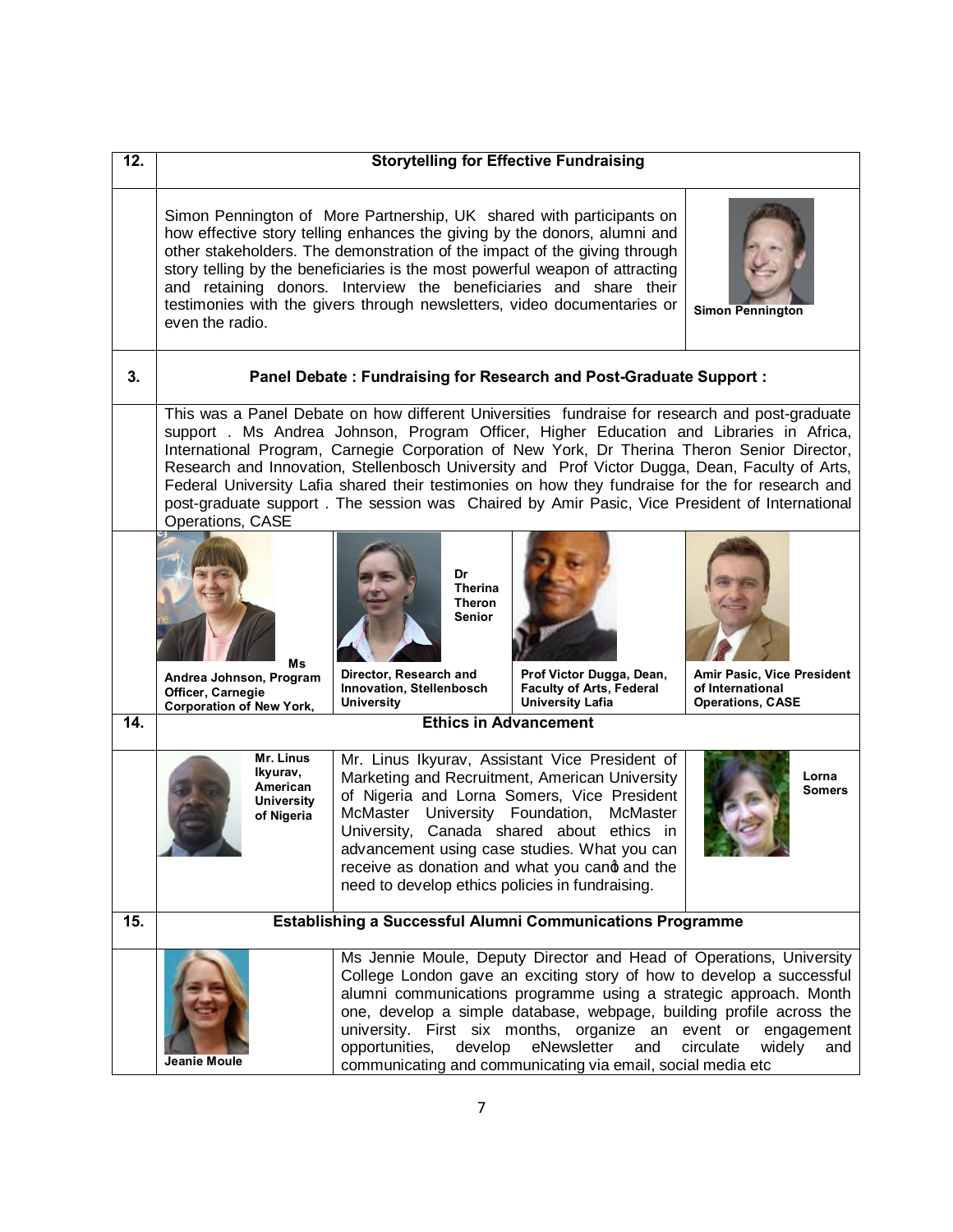| 12.               | <b>Storytelling for Effective Fundraising</b>                                                                                                                                                                                                                                                                                                                                                                                                                                                                                                                                                                       |                                                                                                                                                                                                                                                                                                                                                                                                                        |                                                                                                                                                                                                                                                                                                                                                                                                                                                |                                             |
|-------------------|---------------------------------------------------------------------------------------------------------------------------------------------------------------------------------------------------------------------------------------------------------------------------------------------------------------------------------------------------------------------------------------------------------------------------------------------------------------------------------------------------------------------------------------------------------------------------------------------------------------------|------------------------------------------------------------------------------------------------------------------------------------------------------------------------------------------------------------------------------------------------------------------------------------------------------------------------------------------------------------------------------------------------------------------------|------------------------------------------------------------------------------------------------------------------------------------------------------------------------------------------------------------------------------------------------------------------------------------------------------------------------------------------------------------------------------------------------------------------------------------------------|---------------------------------------------|
|                   | Simon Pennington of More Partnership, UK shared with participants on<br>how effective story telling enhances the giving by the donors, alumni and<br>other stakeholders. The demonstration of the impact of the giving through<br>story telling by the beneficiaries is the most powerful weapon of attracting<br>and retaining donors. Interview the beneficiaries and share their<br>testimonies with the givers through newsletters, video documentaries or<br><b>Simon Pennington</b><br>even the radio.                                                                                                        |                                                                                                                                                                                                                                                                                                                                                                                                                        |                                                                                                                                                                                                                                                                                                                                                                                                                                                |                                             |
| 3.                |                                                                                                                                                                                                                                                                                                                                                                                                                                                                                                                                                                                                                     | Panel Debate: Fundraising for Research and Post-Graduate Support:                                                                                                                                                                                                                                                                                                                                                      |                                                                                                                                                                                                                                                                                                                                                                                                                                                |                                             |
|                   | This was a Panel Debate on how different Universities fundraise for research and post-graduate<br>support . Ms Andrea Johnson, Program Officer, Higher Education and Libraries in Africa,<br>International Program, Carnegie Corporation of New York, Dr Therina Theron Senior Director,<br>Research and Innovation, Stellenbosch University and Prof Victor Dugga, Dean, Faculty of Arts,<br>Federal University Lafia shared their testimonies on how they fundraise for the for research and<br>post-graduate support. The session was Chaired by Amir Pasic, Vice President of International<br>Operations, CASE |                                                                                                                                                                                                                                                                                                                                                                                                                        |                                                                                                                                                                                                                                                                                                                                                                                                                                                |                                             |
|                   | Ms<br>Andrea Johnson, Program                                                                                                                                                                                                                                                                                                                                                                                                                                                                                                                                                                                       | Dr<br><b>Therina</b><br><b>Theron</b><br>Senior<br>Director, Research and                                                                                                                                                                                                                                                                                                                                              | Prof Victor Dugga, Dean,                                                                                                                                                                                                                                                                                                                                                                                                                       | Amir Pasic, Vice President                  |
|                   | Officer, Carnegie<br><b>Corporation of New York,</b>                                                                                                                                                                                                                                                                                                                                                                                                                                                                                                                                                                | Innovation, Stellenbosch<br><b>University</b>                                                                                                                                                                                                                                                                                                                                                                          | <b>Faculty of Arts, Federal</b><br><b>University Lafia</b>                                                                                                                                                                                                                                                                                                                                                                                     | of International<br><b>Operations, CASE</b> |
| $\overline{14}$ . |                                                                                                                                                                                                                                                                                                                                                                                                                                                                                                                                                                                                                     | <b>Ethics in Advancement</b>                                                                                                                                                                                                                                                                                                                                                                                           |                                                                                                                                                                                                                                                                                                                                                                                                                                                |                                             |
|                   | Mr. Linus<br>Ikyurav,<br>American<br><b>University</b><br>of Nigeria                                                                                                                                                                                                                                                                                                                                                                                                                                                                                                                                                | Mr. Linus Ikyurav, Assistant Vice President of<br>Marketing and Recruitment, American University<br>Lorna<br><b>Somers</b><br>of Nigeria and Lorna Somers, Vice President<br>McMaster University Foundation, McMaster<br>University, Canada shared about ethics in<br>advancement using case studies. What you can<br>receive as donation and what you cand and the<br>need to develop ethics policies in fundraising. |                                                                                                                                                                                                                                                                                                                                                                                                                                                |                                             |
| 15.               |                                                                                                                                                                                                                                                                                                                                                                                                                                                                                                                                                                                                                     | <b>Establishing a Successful Alumni Communications Programme</b>                                                                                                                                                                                                                                                                                                                                                       |                                                                                                                                                                                                                                                                                                                                                                                                                                                |                                             |
|                   | Jeanie Moule                                                                                                                                                                                                                                                                                                                                                                                                                                                                                                                                                                                                        | opportunities,<br>develop                                                                                                                                                                                                                                                                                                                                                                                              | Ms Jennie Moule, Deputy Director and Head of Operations, University<br>College London gave an exciting story of how to develop a successful<br>alumni communications programme using a strategic approach. Month<br>one, develop a simple database, webpage, building profile across the<br>university. First six months, organize an event or engagement<br>eNewsletter<br>and<br>communicating and communicating via email, social media etc | circulate<br>widely<br>and                  |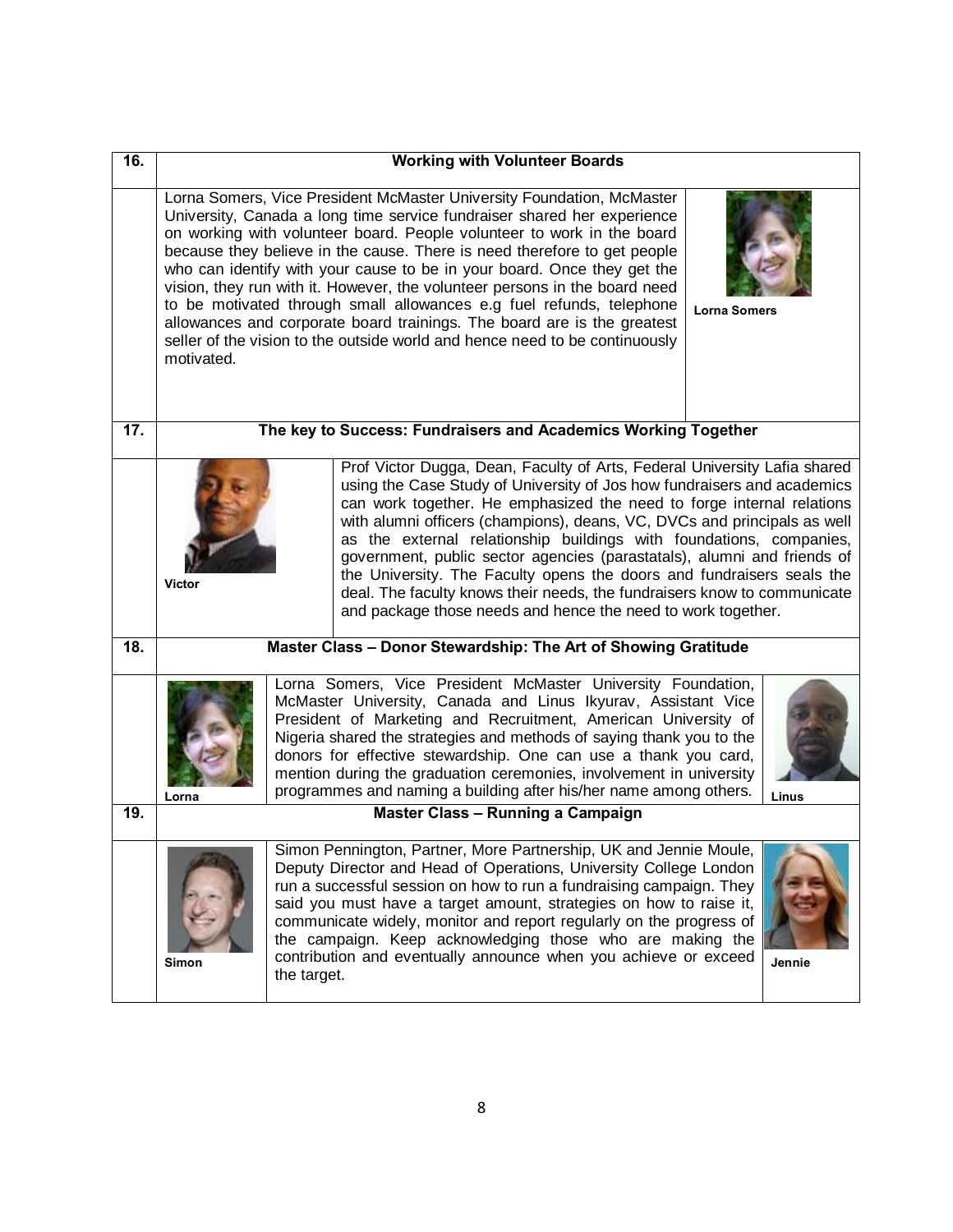| 16.               | <b>Working with Volunteer Boards</b>                                                                                                                                                                                                                                                                                                                                                                                                                                                                                                                                                                                                                                                              |                                                                                                                                                                                                                                                                                                                                                                                                                                                                                                                                                                                                                                                                                                                          |  |  |
|-------------------|---------------------------------------------------------------------------------------------------------------------------------------------------------------------------------------------------------------------------------------------------------------------------------------------------------------------------------------------------------------------------------------------------------------------------------------------------------------------------------------------------------------------------------------------------------------------------------------------------------------------------------------------------------------------------------------------------|--------------------------------------------------------------------------------------------------------------------------------------------------------------------------------------------------------------------------------------------------------------------------------------------------------------------------------------------------------------------------------------------------------------------------------------------------------------------------------------------------------------------------------------------------------------------------------------------------------------------------------------------------------------------------------------------------------------------------|--|--|
|                   | motivated.                                                                                                                                                                                                                                                                                                                                                                                                                                                                                                                                                                                                                                                                                        | Lorna Somers, Vice President McMaster University Foundation, McMaster<br>University, Canada a long time service fundraiser shared her experience<br>on working with volunteer board. People volunteer to work in the board<br>because they believe in the cause. There is need therefore to get people<br>who can identify with your cause to be in your board. Once they get the<br>vision, they run with it. However, the volunteer persons in the board need<br>to be motivated through small allowances e.g fuel refunds, telephone<br><b>Lorna Somers</b><br>allowances and corporate board trainings. The board are is the greatest<br>seller of the vision to the outside world and hence need to be continuously |  |  |
| 17.               |                                                                                                                                                                                                                                                                                                                                                                                                                                                                                                                                                                                                                                                                                                   | The key to Success: Fundraisers and Academics Working Together                                                                                                                                                                                                                                                                                                                                                                                                                                                                                                                                                                                                                                                           |  |  |
|                   | Prof Victor Dugga, Dean, Faculty of Arts, Federal University Lafia shared<br>using the Case Study of University of Jos how fundraisers and academics<br>can work together. He emphasized the need to forge internal relations<br>with alumni officers (champions), deans, VC, DVCs and principals as well<br>as the external relationship buildings with foundations, companies,<br>government, public sector agencies (parastatals), alumni and friends of<br>the University. The Faculty opens the doors and fundraisers seals the<br><b>Victor</b><br>deal. The faculty knows their needs, the fundraisers know to communicate<br>and package those needs and hence the need to work together. |                                                                                                                                                                                                                                                                                                                                                                                                                                                                                                                                                                                                                                                                                                                          |  |  |
| $\overline{18}$ . |                                                                                                                                                                                                                                                                                                                                                                                                                                                                                                                                                                                                                                                                                                   | Master Class - Donor Stewardship: The Art of Showing Gratitude                                                                                                                                                                                                                                                                                                                                                                                                                                                                                                                                                                                                                                                           |  |  |
|                   | Lorna                                                                                                                                                                                                                                                                                                                                                                                                                                                                                                                                                                                                                                                                                             | Lorna Somers, Vice President McMaster University Foundation,<br>McMaster University, Canada and Linus Ikyurav, Assistant Vice<br>President of Marketing and Recruitment, American University of<br>Nigeria shared the strategies and methods of saying thank you to the<br>donors for effective stewardship. One can use a thank you card,<br>mention during the graduation ceremonies, involvement in university<br>programmes and naming a building after his/her name among others.<br>Linus                                                                                                                                                                                                                          |  |  |
| 19.               |                                                                                                                                                                                                                                                                                                                                                                                                                                                                                                                                                                                                                                                                                                   | Master Class - Running a Campaign                                                                                                                                                                                                                                                                                                                                                                                                                                                                                                                                                                                                                                                                                        |  |  |
|                   | Simon                                                                                                                                                                                                                                                                                                                                                                                                                                                                                                                                                                                                                                                                                             | Simon Pennington, Partner, More Partnership, UK and Jennie Moule,<br>Deputy Director and Head of Operations, University College London<br>run a successful session on how to run a fundraising campaign. They<br>said you must have a target amount, strategies on how to raise it,<br>communicate widely, monitor and report regularly on the progress of<br>the campaign. Keep acknowledging those who are making the<br>contribution and eventually announce when you achieve or exceed<br>Jennie<br>the target.                                                                                                                                                                                                      |  |  |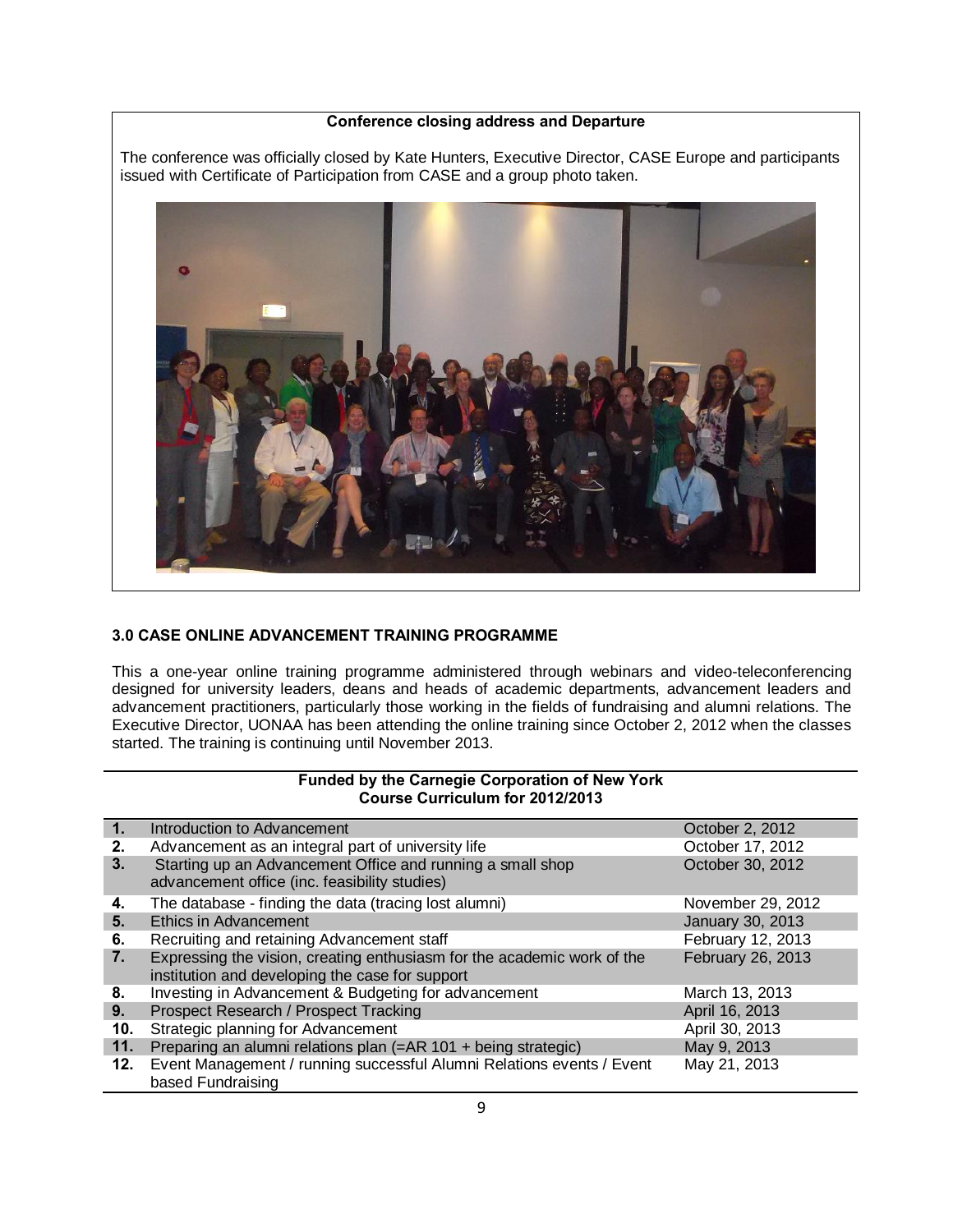#### **Conference closing address and Departure**

The conference was officially closed by Kate Hunters, Executive Director, CASE Europe and participants issued with Certificate of Participation from CASE and a group photo taken.



#### **3.0 CASE ONLINE ADVANCEMENT TRAINING PROGRAMME**

This a one-year online training programme administered through webinars and video-teleconferencing designed for university leaders, deans and heads of academic departments, advancement leaders and advancement practitioners, particularly those working in the fields of fundraising and alumni relations. The Executive Director, UONAA has been attending the online training since October 2, 2012 when the classes started. The training is continuing until November 2013.

#### **Funded by the Carnegie Corporation of New York Course Curriculum for 2012/2013**

| 1.  | Introduction to Advancement                                                                                                | October 2, 2012   |
|-----|----------------------------------------------------------------------------------------------------------------------------|-------------------|
| 2.  | Advancement as an integral part of university life                                                                         | October 17, 2012  |
| 3.  | Starting up an Advancement Office and running a small shop<br>advancement office (inc. feasibility studies)                | October 30, 2012  |
| 4.  | The database - finding the data (tracing lost alumni)                                                                      | November 29, 2012 |
| 5.  | Ethics in Advancement                                                                                                      | January 30, 2013  |
| 6.  | Recruiting and retaining Advancement staff                                                                                 | February 12, 2013 |
| 7.  | Expressing the vision, creating enthusiasm for the academic work of the<br>institution and developing the case for support | February 26, 2013 |
| 8.  | Investing in Advancement & Budgeting for advancement                                                                       | March 13, 2013    |
| 9.  | Prospect Research / Prospect Tracking                                                                                      | April 16, 2013    |
| 10. | Strategic planning for Advancement                                                                                         | April 30, 2013    |
| 11. | Preparing an alumni relations plan (=AR 101 + being strategic)                                                             | May 9, 2013       |
| 12. | Event Management / running successful Alumni Relations events / Event<br>based Fundraising                                 | May 21, 2013      |